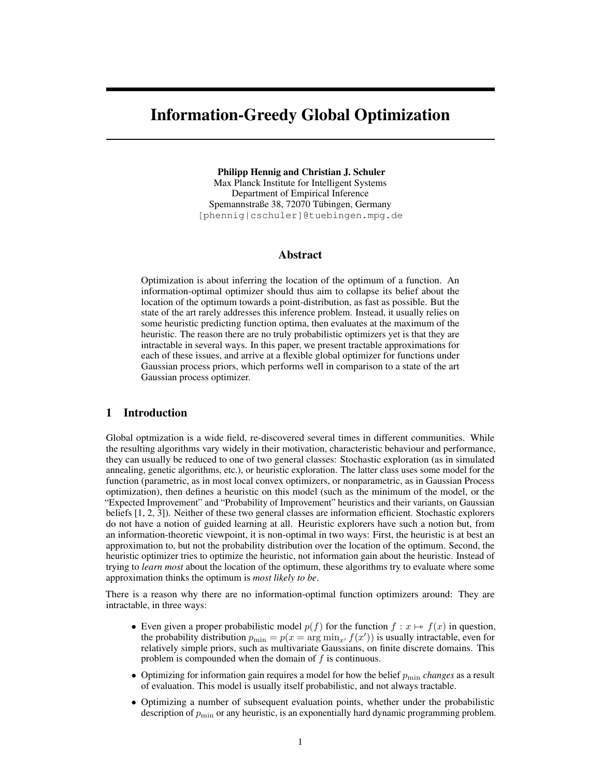# Information-Greedy Global Optimization

Philipp Hennig and Christian J. Schuler Max Planck Institute for Intelligent Systems Department of Empirical Inference Spemannstraße 38, 72070 Tübingen, Germany [phennig|cschuler]@tuebingen.mpg.de

## Abstract

Optimization is about inferring the location of the optimum of a function. An information-optimal optimizer should thus aim to collapse its belief about the location of the optimum towards a point-distribution, as fast as possible. But the state of the art rarely addresses this inference problem. Instead, it usually relies on some heuristic predicting function optima, then evaluates at the maximum of the heuristic. The reason there are no truly probabilistic optimizers yet is that they are intractable in several ways. In this paper, we present tractable approximations for each of these issues, and arrive at a flexible global optimizer for functions under Gaussian process priors, which performs well in comparison to a state of the art Gaussian process optimizer.

## 1 Introduction

Global optmization is a wide field, re-discovered several times in different communities. While the resulting algorithms vary widely in their motivation, characteristic behaviour and performance, they can usually be reduced to one of two general classes: Stochastic exploration (as in simulated annealing, genetic algorithms, etc.), or heuristic exploration. The latter class uses some model for the function (parametric, as in most local convex optimizers, or nonparametric, as in Gaussian Process optimization), then defines a heuristic on this model (such as the minimum of the model, or the "Expected Improvement" and "Probability of Improvement" heuristics and their variants, on Gaussian beliefs [1, 2, 3]). Neither of these two general classes are information efficient. Stochastic explorers do not have a notion of guided learning at all. Heuristic explorers have such a notion but, from an information-theoretic viewpoint, it is non-optimal in two ways: First, the heuristic is at best an approximation to, but not the probability distribution over the location of the optimum. Second, the heuristic optimizer tries to optimize the heuristic, not information gain about the heuristic. Instead of trying to *learn most* about the location of the optimum, these algorithms try to evaluate where some approximation thinks the optimum is *most likely to be*.

There is a reason why there are no information-optimal function optimizers around: They are intractable, in three ways:

- Even given a proper probabilistic model  $p(f)$  for the function  $f : x \mapsto f(x)$  in question, the probability distribution  $p_{\min} = p(x = \arg \min_{x'} f(x'))$  is usually intractable, even for relatively simple priors, such as multivariate Gaussians, on finite discrete domains. This problem is compounded when the domain of  $f$  is continuous.
- Optimizing for information gain requires a model for how the belief  $p_{\min}$  *changes* as a result of evaluation. This model is usually itself probabilistic, and not always tractable.
- Optimizing a number of subsequent evaluation points, whether under the probabilistic description of  $p_{\min}$  or any heuristic, is an exponentially hard dynamic programming problem.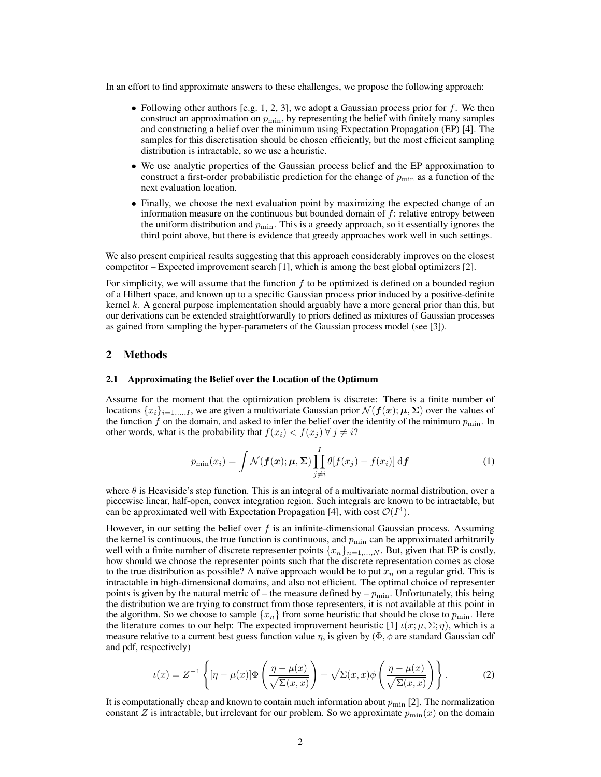In an effort to find approximate answers to these challenges, we propose the following approach:

- Following other authors [e.g. 1, 2, 3], we adopt a Gaussian process prior for f. We then construct an approximation on  $p_{\min}$ , by representing the belief with finitely many samples and constructing a belief over the minimum using Expectation Propagation (EP) [4]. The samples for this discretisation should be chosen efficiently, but the most efficient sampling distribution is intractable, so we use a heuristic.
- We use analytic properties of the Gaussian process belief and the EP approximation to construct a first-order probabilistic prediction for the change of  $p_{\min}$  as a function of the next evaluation location.
- Finally, we choose the next evaluation point by maximizing the expected change of an information measure on the continuous but bounded domain of  $f$ : relative entropy between the uniform distribution and  $p_{\min}$ . This is a greedy approach, so it essentially ignores the third point above, but there is evidence that greedy approaches work well in such settings.

We also present empirical results suggesting that this approach considerably improves on the closest competitor – Expected improvement search [1], which is among the best global optimizers [2].

For simplicity, we will assume that the function  $f$  to be optimized is defined on a bounded region of a Hilbert space, and known up to a specific Gaussian process prior induced by a positive-definite kernel k. A general purpose implementation should arguably have a more general prior than this, but our derivations can be extended straightforwardly to priors defined as mixtures of Gaussian processes as gained from sampling the hyper-parameters of the Gaussian process model (see [3]).

## 2 Methods

#### 2.1 Approximating the Belief over the Location of the Optimum

Assume for the moment that the optimization problem is discrete: There is a finite number of locations  $\{x_i\}_{i=1,\ldots,I}$ , we are given a multivariate Gaussian prior  $\mathcal{N}(f(x); \mu, \Sigma)$  over the values of the function f on the domain, and asked to infer the belief over the identity of the minimum  $p_{\min}$ . In other words, what is the probability that  $f(x_i) < f(x_j) \forall j \neq i$ ?

$$
p_{\min}(x_i) = \int \mathcal{N}(\boldsymbol{f}(\boldsymbol{x}); \boldsymbol{\mu}, \boldsymbol{\Sigma}) \prod_{j \neq i}^{I} \theta[f(x_j) - f(x_i)] \, \mathrm{d}\boldsymbol{f} \tag{1}
$$

where  $\theta$  is Heaviside's step function. This is an integral of a multivariate normal distribution, over a piecewise linear, half-open, convex integration region. Such integrals are known to be intractable, but can be approximated well with Expectation Propagation [4], with cost  $\mathcal{O}(I^4)$ .

However, in our setting the belief over  $f$  is an infinite-dimensional Gaussian process. Assuming the kernel is continuous, the true function is continuous, and  $p_{\min}$  can be approximated arbitrarily well with a finite number of discrete representer points  $\{x_n\}_{n=1,\dots,N}$ . But, given that EP is costly, how should we choose the representer points such that the discrete representation comes as close to the true distribution as possible? A naïve approach would be to put  $x_n$  on a regular grid. This is intractable in high-dimensional domains, and also not efficient. The optimal choice of representer points is given by the natural metric of – the measure defined by –  $p_{\text{min}}$ . Unfortunately, this being the distribution we are trying to construct from those representers, it is not available at this point in the algorithm. So we choose to sample  $\{x_n\}$  from some heuristic that should be close to  $p_{\min}$ . Here the literature comes to our help: The expected improvement heuristic [1]  $\iota(x; \mu, \Sigma; \eta)$ , which is a measure relative to a current best guess function value  $\eta$ , is given by ( $\Phi$ ,  $\phi$  are standard Gaussian cdf and pdf, respectively)

$$
\iota(x) = Z^{-1}\left\{ \left[ \eta - \mu(x) \right] \Phi\left(\frac{\eta - \mu(x)}{\sqrt{\Sigma(x, x)}}\right) + \sqrt{\Sigma(x, x)} \phi\left(\frac{\eta - \mu(x)}{\sqrt{\Sigma(x, x)}}\right) \right\}.
$$
 (2)

It is computationally cheap and known to contain much information about  $p_{\min}$  [2]. The normalization constant Z is intractable, but irrelevant for our problem. So we approximate  $p_{\min}(x)$  on the domain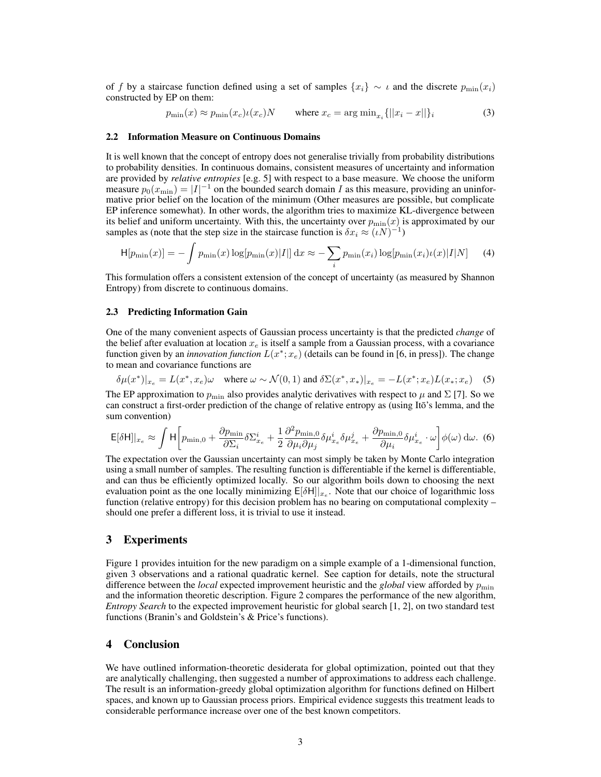of f by a staircase function defined using a set of samples  $\{x_i\} \sim \iota$  and the discrete  $p_{\min}(x_i)$ constructed by EP on them:

$$
p_{\min}(x) \approx p_{\min}(x_c)\iota(x_c)N \qquad \text{where } x_c = \arg \min_{x_i} \{ ||x_i - x|| \}_i \tag{3}
$$

#### 2.2 Information Measure on Continuous Domains

It is well known that the concept of entropy does not generalise trivially from probability distributions to probability densities. In continuous domains, consistent measures of uncertainty and information are provided by *relative entropies* [e.g. 5] with respect to a base measure. We choose the uniform measure  $p_0(x_{\min}) = |I|^{-1}$  on the bounded search domain I as this measure, providing an uninformative prior belief on the location of the minimum (Other measures are possible, but complicate EP inference somewhat). In other words, the algorithm tries to maximize KL-divergence between its belief and uniform uncertainty. With this, the uncertainty over  $p_{\min}(x)$  is approximated by our samples as (note that the step size in the staircase function is  $\delta x_i \approx (\iota N)^{-1}$ )

$$
H[p_{\min}(x)] = -\int p_{\min}(x) \log[p_{\min}(x)|I|] dx \approx -\sum_{i} p_{\min}(x_i) \log[p_{\min}(x_i)\iota(x)|I|N] \tag{4}
$$

This formulation offers a consistent extension of the concept of uncertainty (as measured by Shannon Entropy) from discrete to continuous domains.

#### 2.3 Predicting Information Gain

One of the many convenient aspects of Gaussian process uncertainty is that the predicted *change* of the belief after evaluation at location  $x_e$  is itself a sample from a Gaussian process, with a covariance function given by an *innovation function*  $L(x^*; x_e)$  (details can be found in [6, in press]). The change to mean and covariance functions are

$$
\delta \mu(x^*)|_{x_e} = L(x^*, x_e)\omega \quad \text{where } \omega \sim \mathcal{N}(0, 1) \text{ and } \delta \Sigma(x^*, x_*)|_{x_e} = -L(x^*; x_e)L(x_*; x_e) \quad (5)
$$

The EP approximation to  $p_{\min}$  also provides analytic derivatives with respect to  $\mu$  and  $\Sigma$  [7]. So we can construct a first-order prediction of the change of relative entropy as (using Itō's lemma, and the sum convention)

$$
\mathsf{E}[\delta \mathsf{H}]|_{x_e} \approx \int \mathsf{H} \bigg[ p_{\min,0} + \frac{\partial p_{\min}}{\partial \Sigma_i} \delta \Sigma_{x_e}^i + \frac{1}{2} \frac{\partial^2 p_{\min,0}}{\partial \mu_i \partial \mu_j} \delta \mu_{x_e}^i \delta \mu_{x_e}^j + \frac{\partial p_{\min,0}}{\partial \mu_i} \delta \mu_{x_e}^i \cdot \omega \bigg] \phi(\omega) \, \mathrm{d}\omega. \tag{6}
$$

The expectation over the Gaussian uncertainty can most simply be taken by Monte Carlo integration using a small number of samples. The resulting function is differentiable if the kernel is differentiable, and can thus be efficiently optimized locally. So our algorithm boils down to choosing the next evaluation point as the one locally minimizing  $E[\delta H]|_{x_e}$ . Note that our choice of logarithmic loss function (relative entropy) for this decision problem has no bearing on computational complexity – should one prefer a different loss, it is trivial to use it instead.

## 3 Experiments

Figure 1 provides intuition for the new paradigm on a simple example of a 1-dimensional function, given 3 observations and a rational quadratic kernel. See caption for details, note the structural difference between the *local* expected improvement heuristic and the *global* view afforded by  $p_{\min}$ and the information theoretic description. Figure 2 compares the performance of the new algorithm, *Entropy Search* to the expected improvement heuristic for global search [1, 2], on two standard test functions (Branin's and Goldstein's & Price's functions).

### 4 Conclusion

We have outlined information-theoretic desiderata for global optimization, pointed out that they are analytically challenging, then suggested a number of approximations to address each challenge. The result is an information-greedy global optimization algorithm for functions defined on Hilbert spaces, and known up to Gaussian process priors. Empirical evidence suggests this treatment leads to considerable performance increase over one of the best known competitors.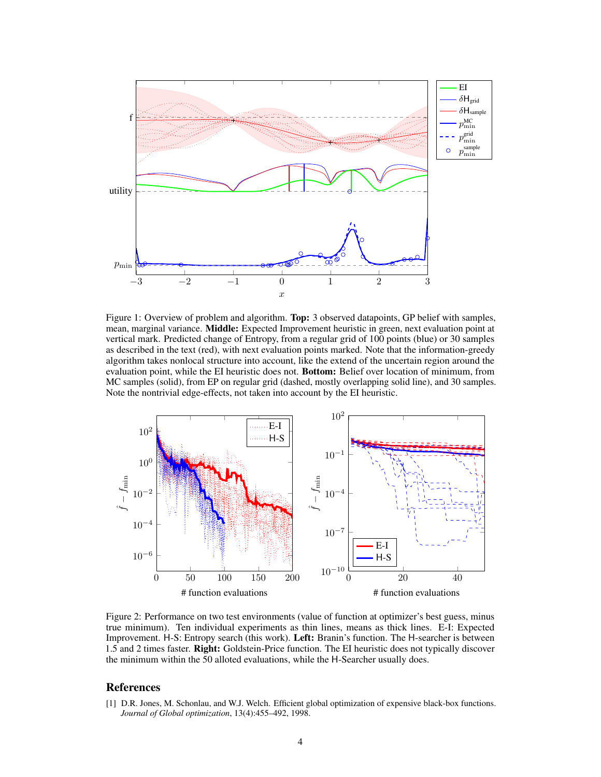

Figure 1: Overview of problem and algorithm. Top: 3 observed datapoints, GP belief with samples, mean, marginal variance. Middle: Expected Improvement heuristic in green, next evaluation point at vertical mark. Predicted change of Entropy, from a regular grid of 100 points (blue) or 30 samples as described in the text (red), with next evaluation points marked. Note that the information-greedy algorithm takes nonlocal structure into account, like the extend of the uncertain region around the evaluation point, while the EI heuristic does not. Bottom: Belief over location of minimum, from MC samples (solid), from EP on regular grid (dashed, mostly overlapping solid line), and 30 samples. Note the nontrivial edge-effects, not taken into account by the EI heuristic.



Figure 2: Performance on two test environments (value of function at optimizer's best guess, minus true minimum). Ten individual experiments as thin lines, means as thick lines. E-I: Expected Improvement. H-S: Entropy search (this work). Left: Branin's function. The H-searcher is between 1.5 and 2 times faster. Right: Goldstein-Price function. The EI heuristic does not typically discover the minimum within the 50 alloted evaluations, while the H-Searcher usually does.

## References

[1] D.R. Jones, M. Schonlau, and W.J. Welch. Efficient global optimization of expensive black-box functions. *Journal of Global optimization*, 13(4):455–492, 1998.